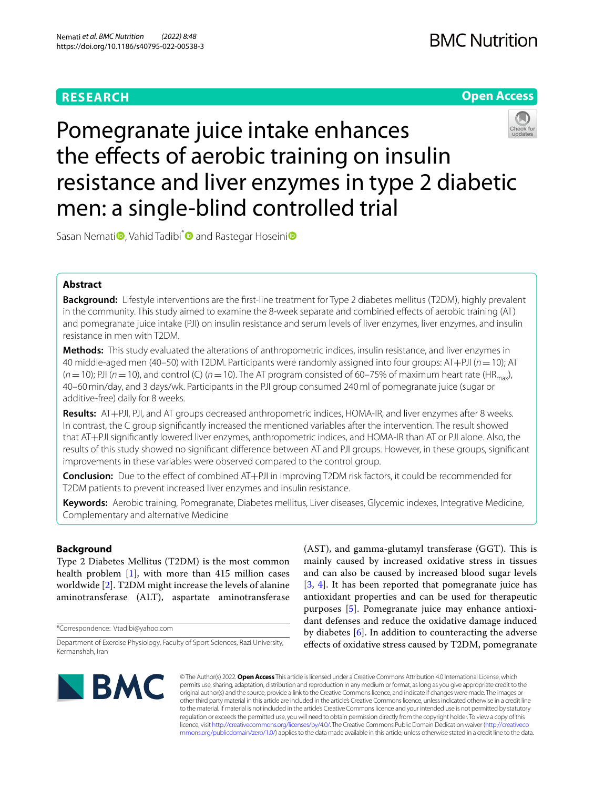# **RESEARCH**

# **Open Access**



Pomegranate juice intake enhances the effects of aerobic training on insulin resistance and liver enzymes in type 2 diabetic men: a single-blind controlled trial

Sasan Nemati<sup>o</sup>[,](https://orcid.org/0000-0002-9273-476X) Vahid Tadibi<sup>\*</sup> and Rastegar Hoseini<sup>o</sup>

# **Abstract**

**Background:** Lifestyle interventions are the frst-line treatment for Type 2 diabetes mellitus (T2DM), highly prevalent in the community. This study aimed to examine the 8-week separate and combined efects of aerobic training (AT) and pomegranate juice intake (PJI) on insulin resistance and serum levels of liver enzymes, liver enzymes, and insulin resistance in men with T2DM.

**Methods:** This study evaluated the alterations of anthropometric indices, insulin resistance, and liver enzymes in 40 middle-aged men (40–50) with T2DM. Participants were randomly assigned into four groups: AT+PJI (*n*=10); AT  $(n=10)$ ; PJI ( $n=10$ ), and control (C) ( $n=10$ ). The AT program consisted of 60–75% of maximum heart rate (HR<sub>max</sub>), 40–60min/day, and 3 days/wk. Participants in the PJI group consumed 240ml of pomegranate juice (sugar or additive-free) daily for 8 weeks.

**Results:** AT+PJI, PJI, and AT groups decreased anthropometric indices, HOMA-IR, and liver enzymes after 8 weeks. In contrast, the C group signifcantly increased the mentioned variables after the intervention. The result showed that AT+PJI signifcantly lowered liver enzymes, anthropometric indices, and HOMA-IR than AT or PJI alone. Also, the results of this study showed no signifcant diference between AT and PJI groups. However, in these groups, signifcant improvements in these variables were observed compared to the control group.

**Conclusion:** Due to the efect of combined AT+PJI in improving T2DM risk factors, it could be recommended for T2DM patients to prevent increased liver enzymes and insulin resistance.

**Keywords:** Aerobic training, Pomegranate, Diabetes mellitus, Liver diseases, Glycemic indexes, Integrative Medicine, Complementary and alternative Medicine

# **Background**

Type 2 Diabetes Mellitus (T2DM) is the most common health problem [\[1](#page-7-0)], with more than 415 million cases worldwide [\[2](#page-7-1)]. T2DM might increase the levels of alanine aminotransferase (ALT), aspartate aminotransferase

\*Correspondence: Vtadibi@yahoo.com

 $(AST)$ , and gamma-glutamyl transferase  $(GGT)$ . This is mainly caused by increased oxidative stress in tissues and can also be caused by increased blood sugar levels [[3,](#page-7-2) [4\]](#page-7-3). It has been reported that pomegranate juice has antioxidant properties and can be used for therapeutic purposes [[5\]](#page-7-4). Pomegranate juice may enhance antioxidant defenses and reduce the oxidative damage induced by diabetes [[6](#page-7-5)]. In addition to counteracting the adverse efects of oxidative stress caused by T2DM, pomegranate



© The Author(s) 2022. **Open Access** This article is licensed under a Creative Commons Attribution 4.0 International License, which permits use, sharing, adaptation, distribution and reproduction in any medium or format, as long as you give appropriate credit to the original author(s) and the source, provide a link to the Creative Commons licence, and indicate if changes were made. The images or other third party material in this article are included in the article's Creative Commons licence, unless indicated otherwise in a credit line to the material. If material is not included in the article's Creative Commons licence and your intended use is not permitted by statutory regulation or exceeds the permitted use, you will need to obtain permission directly from the copyright holder. To view a copy of this licence, visit [http://creativecommons.org/licenses/by/4.0/.](http://creativecommons.org/licenses/by/4.0/) The Creative Commons Public Domain Dedication waiver ([http://creativeco](http://creativecommons.org/publicdomain/zero/1.0/) [mmons.org/publicdomain/zero/1.0/](http://creativecommons.org/publicdomain/zero/1.0/)) applies to the data made available in this article, unless otherwise stated in a credit line to the data.

Department of Exercise Physiology, Faculty of Sport Sciences, Razi University, Kermanshah, Iran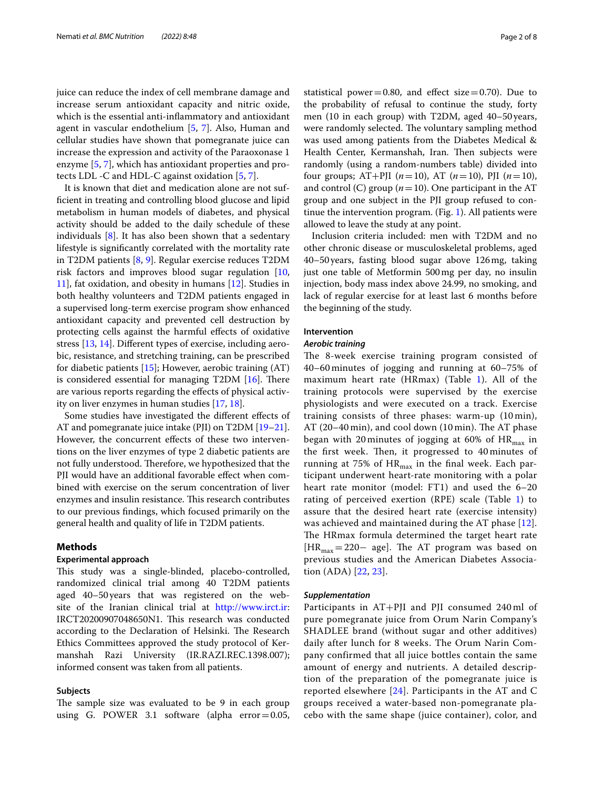juice can reduce the index of cell membrane damage and increase serum antioxidant capacity and nitric oxide, which is the essential anti-infammatory and antioxidant agent in vascular endothelium [\[5](#page-7-4), [7](#page-7-6)]. Also, Human and cellular studies have shown that pomegranate juice can increase the expression and activity of the Paraoxonase 1 enzyme [\[5](#page-7-4), [7\]](#page-7-6), which has antioxidant properties and protects LDL -C and HDL-C against oxidation [\[5](#page-7-4), [7\]](#page-7-6).

It is known that diet and medication alone are not suffcient in treating and controlling blood glucose and lipid metabolism in human models of diabetes, and physical activity should be added to the daily schedule of these individuals  $[8]$  $[8]$ . It has also been shown that a sedentary lifestyle is signifcantly correlated with the mortality rate in T2DM patients [\[8](#page-7-7), [9](#page-7-8)]. Regular exercise reduces T2DM risk factors and improves blood sugar regulation [\[10](#page-7-9), [11\]](#page-7-10), fat oxidation, and obesity in humans [[12\]](#page-7-11). Studies in both healthy volunteers and T2DM patients engaged in a supervised long-term exercise program show enhanced antioxidant capacity and prevented cell destruction by protecting cells against the harmful effects of oxidative stress [\[13](#page-7-12), [14\]](#page-7-13). Diferent types of exercise, including aerobic, resistance, and stretching training, can be prescribed for diabetic patients [[15](#page-7-14)]; However, aerobic training (AT) is considered essential for managing  $T2DM$  [\[16\]](#page-7-15). There are various reports regarding the effects of physical activity on liver enzymes in human studies [[17,](#page-7-16) [18](#page-7-17)].

Some studies have investigated the diferent efects of AT and pomegranate juice intake (PJI) on T2DM [[19](#page-7-18)[–21](#page-7-19)]. However, the concurrent effects of these two interventions on the liver enzymes of type 2 diabetic patients are not fully understood. Therefore, we hypothesized that the PJI would have an additional favorable efect when combined with exercise on the serum concentration of liver enzymes and insulin resistance. This research contributes to our previous fndings, which focused primarily on the general health and quality of life in T2DM patients.

# **Methods**

### **Experimental approach**

This study was a single-blinded, placebo-controlled, randomized clinical trial among 40 T2DM patients aged 40–50years that was registered on the website of the Iranian clinical trial at <http://www.irct.ir>: IRCT20200907048650N1. This research was conducted according to the Declaration of Helsinki. The Research Ethics Committees approved the study protocol of Kermanshah Razi University (IR.RAZI.REC.1398.007); informed consent was taken from all patients.

### **Subjects**

The sample size was evaluated to be 9 in each group using G. POWER 3.1 software (alpha error=0.05, statistical power=0.80, and effect size=0.70). Due to the probability of refusal to continue the study, forty men (10 in each group) with T2DM, aged 40–50 years, were randomly selected. The voluntary sampling method was used among patients from the Diabetes Medical & Health Center, Kermanshah, Iran. Then subjects were randomly (using a random-numbers table) divided into four groups;  $AT+PII$  ( $n=10$ ),  $AT$  ( $n=10$ ), PJI ( $n=10$ ), and control (C) group  $(n=10)$ . One participant in the AT group and one subject in the PJI group refused to continue the intervention program. (Fig. [1\)](#page-2-0). All patients were allowed to leave the study at any point.

Inclusion criteria included: men with T2DM and no other chronic disease or musculoskeletal problems, aged 40–50years, fasting blood sugar above 126mg, taking just one table of Metformin 500mg per day, no insulin injection, body mass index above 24.99, no smoking, and lack of regular exercise for at least last 6 months before the beginning of the study.

# **Intervention**

# *Aerobic training*

The 8-week exercise training program consisted of 40–60 minutes of jogging and running at 60–75% of maximum heart rate (HRmax) (Table [1\)](#page-2-1). All of the training protocols were supervised by the exercise physiologists and were executed on a track. Exercise training consists of three phases: warm-up (10 min), AT  $(20-40 \text{ min})$ , and cool down  $(10 \text{ min})$ . The AT phase began with 20 minutes of jogging at 60% of  $HR_{max}$  in the first week. Then, it progressed to 40 minutes of running at 75% of  $HR_{max}$  in the final week. Each participant underwent heart-rate monitoring with a polar heart rate monitor (model: FT1) and used the 6–20 rating of perceived exertion (RPE) scale (Table [1](#page-2-1)) to assure that the desired heart rate (exercise intensity) was achieved and maintained during the AT phase [[12\]](#page-7-11). The HRmax formula determined the target heart rate [HR<sub>max</sub>=220– age]. The AT program was based on previous studies and the American Diabetes Association (ADA) [\[22](#page-7-20), [23](#page-7-21)].

### *Supplementation*

Participants in AT+PJI and PJI consumed 240 ml of pure pomegranate juice from Orum Narin Company's SHADLEE brand (without sugar and other additives) daily after lunch for 8 weeks. The Orum Narin Company confirmed that all juice bottles contain the same amount of energy and nutrients. A detailed description of the preparation of the pomegranate juice is reported elsewhere [[24](#page-7-22)]. Participants in the AT and C groups received a water-based non-pomegranate placebo with the same shape (juice container), color, and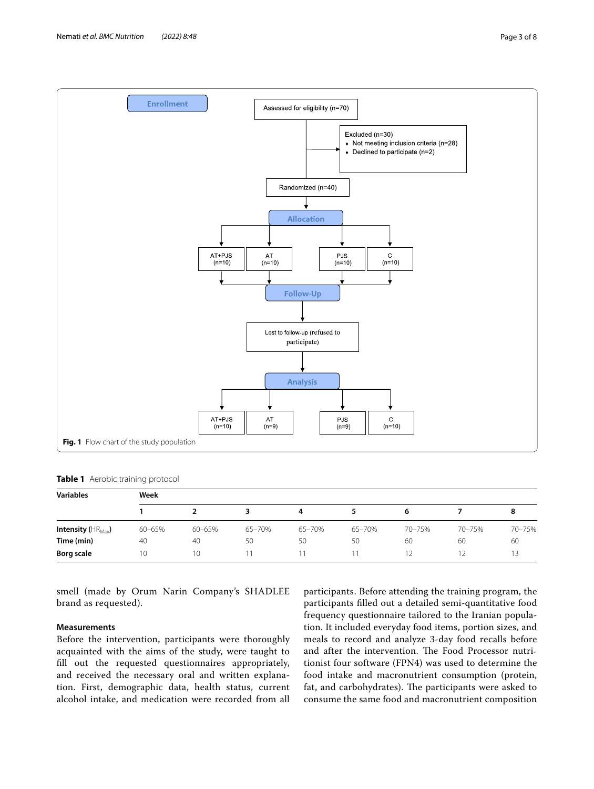

<span id="page-2-1"></span><span id="page-2-0"></span>**Table 1** Aerobic training protocol

| <b>Variables</b>                | Week   |        |        |        |        |        |        |        |
|---------------------------------|--------|--------|--------|--------|--------|--------|--------|--------|
|                                 |        |        |        | 4      |        | 6      |        | 8      |
| Intensity ( $HR_{\text{Max}}$ ) | 60-65% | 60-65% | 65-70% | 65-70% | 65-70% | 70-75% | 70-75% | 70-75% |
| Time (min)                      | 40     | 40     | 50     | 50     | 50     | 60     | 60     | 60     |
| Borg scale                      | 10     | 10     |        | 11     |        |        |        |        |

smell (made by Orum Narin Company's SHADLEE brand as requested).

# **Measurements**

Before the intervention, participants were thoroughly acquainted with the aims of the study, were taught to fll out the requested questionnaires appropriately, and received the necessary oral and written explanation. First, demographic data, health status, current alcohol intake, and medication were recorded from all participants. Before attending the training program, the participants flled out a detailed semi-quantitative food frequency questionnaire tailored to the Iranian population. It included everyday food items, portion sizes, and meals to record and analyze 3-day food recalls before and after the intervention. The Food Processor nutritionist four software (FPN4) was used to determine the food intake and macronutrient consumption (protein, fat, and carbohydrates). The participants were asked to consume the same food and macronutrient composition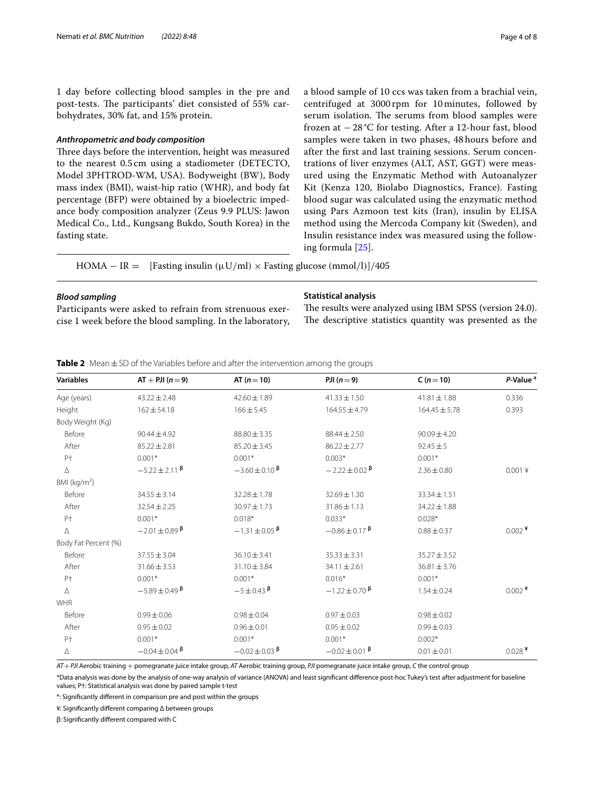1 day before collecting blood samples in the pre and post-tests. The participants' diet consisted of 55% carbohydrates, 30% fat, and 15% protein.

# *Anthropometric and body composition*

Three days before the intervention, height was measured to the nearest 0.5 cm using a stadiometer (DETECTO, Model 3PHTROD-WM, USA). Bodyweight (BW), Body mass index (BMI), waist-hip ratio (WHR), and body fat percentage (BFP) were obtained by a bioelectric impedance body composition analyzer (Zeus 9.9 PLUS: Jawon Medical Co., Ltd., Kungsang Bukdo, South Korea) in the fasting state.

a blood sample of 10 ccs was taken from a brachial vein, centrifuged at 3000 rpm for 10 minutes, followed by serum isolation. The serums from blood samples were frozen at −28 °C for testing. After a 12-hour fast, blood samples were taken in two phases, 48 hours before and after the frst and last training sessions. Serum concentrations of liver enzymes (ALT, AST, GGT) were measured using the Enzymatic Method with Autoanalyzer Kit (Kenza 120, Biolabo Diagnostics, France). Fasting blood sugar was calculated using the enzymatic method using Pars Azmoon test kits (Iran), insulin by ELISA method using the Mercoda Company kit (Sweden), and Insulin resistance index was measured using the following formula [[25](#page-7-23)].

HOMA – IR = [Fasting insulin ( $\mu$ U/ml) × Fasting glucose (mmol/l)]/405

# *Blood sampling*

Participants were asked to refrain from strenuous exercise 1 week before the blood sampling. In the laboratory,

### **Statistical analysis**

The results were analyzed using IBM SPSS (version 24.0). The descriptive statistics quantity was presented as the

<span id="page-3-0"></span>**Table 2** Mean±SD of the Variables before and after the intervention among the groups

| <b>Variables</b>     | $AT + PJI(n=9)$             | AT $(n=10)$              | PJI $(n=9)$              | $C(n=10)$         | P-Value <sup>a</sup> |
|----------------------|-----------------------------|--------------------------|--------------------------|-------------------|----------------------|
| Age (years)          | $43.22 \pm 2.48$            | $42.60 \pm 1.89$         | $41.33 \pm 1.50$         | $41.81 \pm 1.88$  | 0.336                |
| Height               | $162 \pm 54.18$             | $166 \pm 5.45$           | $164.55 \pm 4.79$        | $164.45 \pm 5.78$ | 0.393                |
| Body Weight (Kg)     |                             |                          |                          |                   |                      |
| Before               | $90.44 \pm 4.92$            | $88.80 \pm 3.35$         | $88.44 \pm 2.50$         | $90.09 \pm 4.20$  |                      |
| After                | $85.22 \pm 2.81$            | $85.20 \pm 3.45$         | $86.22 \pm 2.77$         | $92.45 \pm 5$     |                      |
| P <sup>+</sup>       | $0.001*$                    | $0.001*$                 | $0.003*$                 | $0.001*$          |                      |
| Δ                    | $-5.22 \pm 2.11$ $\beta$    | $-3.60 \pm 0.10$ $\beta$ | $-2.22 \pm 0.02$ $\beta$ | $2.36 \pm 0.80$   | $0.001$ ¥            |
| BMI ( $kg/m2$ )      |                             |                          |                          |                   |                      |
| Before               | $34.55 \pm 3.14$            | $32.28 \pm 1.78$         | $32.69 \pm 1.30$         | $33.34 \pm 1.51$  |                      |
| After                | $32.54 \pm 2.25$            | $30.97 \pm 1.73$         | $31.86 \pm 1.13$         | 34.22 ± 1.88      |                      |
| $P+$                 | $0.001*$                    | $0.018*$                 | $0.033*$                 | $0.028*$          |                      |
| Δ                    | $-2.01 \pm 0.89$ $\beta$    | $-1.31 \pm 0.05$ $\beta$ | $-0.86 \pm 0.17$ $\beta$ | $0.88 \pm 0.37$   | $0.002$ <sup>¥</sup> |
| Body Fat Percent (%) |                             |                          |                          |                   |                      |
| Before               | $37.55 \pm 3.04$            | $36.10 \pm 3.41$         | $35.33 \pm 3.31$         | $35.27 \pm 3.52$  |                      |
| After                | $31.66 \pm 3.53$            | 31.10 ± 3.84             | $34.11 \pm 2.61$         | $36.81 \pm 3.76$  |                      |
| P <sup>+</sup>       | $0.001*$                    | $0.001*$                 | $0.016*$                 | $0.001*$          |                      |
| Δ                    | $-5.89 \pm 0.49$ $\beta$    | $-5 \pm 0.43$ $\beta$    | $-1.22 \pm 0.70$ $\beta$ | $1.54 \pm 0.24$   | $0.002$ <sup>¥</sup> |
| <b>WHR</b>           |                             |                          |                          |                   |                      |
| Before               | $0.99 \pm 0.06$             | $0.98 \pm 0.04$          | $0.97 \pm 0.03$          | $0.98 \pm 0.02$   |                      |
| After                | $0.95 \pm 0.02$             | $0.96 \pm 0.01$          | $0.95 \pm 0.02$          | $0.99 \pm 0.03$   |                      |
| P <sup>+</sup>       | $0.001*$                    | $0.001*$                 | $0.001*$                 | $0.002*$          |                      |
| Δ                    | $-0.04 \pm 0.04$ $^{\beta}$ | $-0.02 \pm 0.03$ $\beta$ | $-0.02 \pm 0.01$ $\beta$ | $0.01 \pm 0.01$   | $0.028$ <sup>¥</sup> |

*AT*+*PJI* Aerobic training + pomegranate juice intake group, *AT* Aerobic training group, *PJI* pomegranate juice intake group, *C* the control group

\*Data analysis was done by the analysis of one-way analysis of variance (ANOVA) and least signifcant diference post-hoc Tukey's test after adjustment for baseline values; P†: Statistical analysis was done by paired sample t-test

\*: Signifcantly diferent in comparison pre and post within the groups

¥: Signifcantly diferent comparing Δ between groups

β: Signifcantly diferent compared with C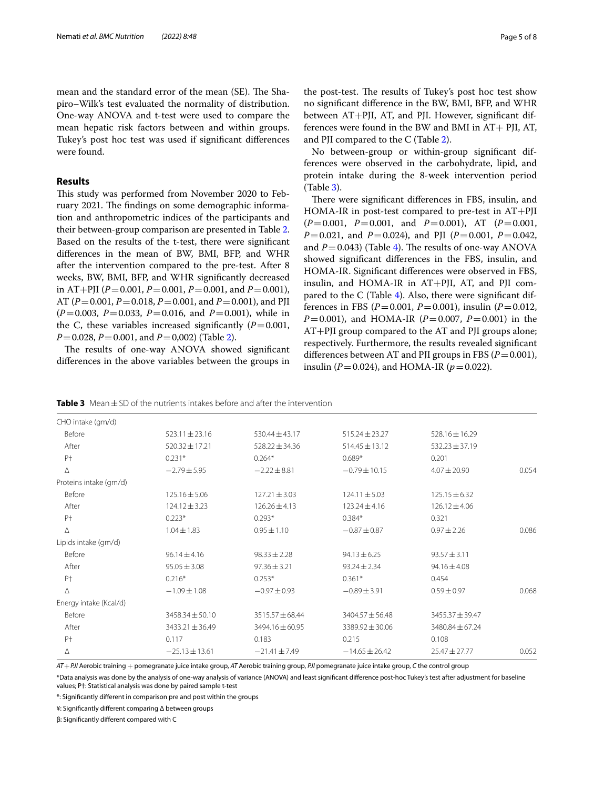mean and the standard error of the mean (SE). The Shapiro–Wilk's test evaluated the normality of distribution. One-way ANOVA and t-test were used to compare the mean hepatic risk factors between and within groups. Tukey's post hoc test was used if signifcant diferences were found.

# **Results**

This study was performed from November 2020 to February 2021. The findings on some demographic information and anthropometric indices of the participants and their between-group comparison are presented in Table [2](#page-3-0). Based on the results of the t-test, there were signifcant diferences in the mean of BW, BMI, BFP, and WHR after the intervention compared to the pre-test. After 8 weeks, BW, BMI, BFP, and WHR signifcantly decreased in AT+PJI (*P*=0.001, *P*=0.001, *P*=0.001, and *P*=0.001), AT (*P*=0.001, *P*=0.018, *P*=0.001, and *P*=0.001), and PJI (*P*=0.003, *P*=0.033, *P*=0.016, and *P*=0.001), while in the C, these variables increased significantly  $(P=0.001,$ *P*=0.028, *P*=0.001, and *P*=0,002) (Table [2\)](#page-3-0).

The results of one-way ANOVA showed significant diferences in the above variables between the groups in

the post-test. The results of Tukey's post hoc test show no signifcant diference in the BW, BMI, BFP, and WHR between AT+PJI, AT, and PJI. However, signifcant differences were found in the BW and BMI in  $AT +$  PJI, AT, and PJI compared to the C (Table [2\)](#page-3-0).

No between-group or within-group signifcant differences were observed in the carbohydrate, lipid, and protein intake during the 8-week intervention period (Table [3\)](#page-4-0).

There were significant differences in FBS, insulin, and HOMA-IR in post-test compared to pre-test in AT+PJI (*P*=0.001, *P*=0.001, and *P*=0.001), AT (*P*=0.001, *P*=0.021, and *P*=0.024), and PJI (*P*=0.001, *P*=0.042, and  $P=0.043$  $P=0.043$  $P=0.043$ ) (Table 4). The results of one-way ANOVA showed signifcant diferences in the FBS, insulin, and HOMA-IR. Signifcant diferences were observed in FBS, insulin, and HOMA-IR in AT+PJI, AT, and PJI compared to the C (Table [4\)](#page-5-0). Also, there were signifcant differences in FBS ( $P = 0.001$ ,  $P = 0.001$ ), insulin ( $P = 0.012$ , *P*=0.001), and HOMA-IR (*P*=0.007, *P*=0.001) in the AT+PJI group compared to the AT and PJI groups alone; respectively. Furthermore, the results revealed signifcant differences between AT and PJI groups in FBS  $(P=0.001)$ , insulin (*P*=0.024), and HOMA-IR (*p*=0.022).

<span id="page-4-0"></span>

|  | <b>Table 3</b> Mean $\pm$ SD of the nutrients intakes before and after the intervention |  |  |
|--|-----------------------------------------------------------------------------------------|--|--|
|  |                                                                                         |  |  |

| CHO intake (qm/d)      |                     |                    |                    |                    |       |
|------------------------|---------------------|--------------------|--------------------|--------------------|-------|
| Before                 | $523.11 \pm 23.16$  | $530.44 \pm 43.17$ | $515.24 \pm 23.27$ | 528.16±16.29       |       |
| After                  | $520.32 \pm 17.21$  | $528.22 \pm 34.36$ | $514.45 \pm 13.12$ | $532.23 \pm 37.19$ |       |
| P <sup>+</sup>         | $0.231*$            | $0.264*$           | $0.689*$           | 0.201              |       |
| Δ                      | $-2.79 \pm 5.95$    | $-2.22 \pm 8.81$   | $-0.79 \pm 10.15$  | $4.07 \pm 20.90$   | 0.054 |
| Proteins intake (qm/d) |                     |                    |                    |                    |       |
| Before                 | $125.16 \pm 5.06$   | $127.21 \pm 3.03$  | $124.11 \pm 5.03$  | $125.15 \pm 6.32$  |       |
| After                  | $124.12 \pm 3.23$   | $126.26 \pm 4.13$  | $123.24 \pm 4.16$  | $126.12 \pm 4.06$  |       |
| P <sup>+</sup>         | $0.223*$            | $0.293*$           | $0.384*$           | 0.321              |       |
| Δ                      | $1.04 \pm 1.83$     | $0.95 \pm 1.10$    | $-0.87 \pm 0.87$   | $0.97 \pm 2.26$    | 0.086 |
| Lipids intake (gm/d)   |                     |                    |                    |                    |       |
| Before                 | $96.14 \pm 4.16$    | $98.33 \pm 2.28$   | $94.13 \pm 6.25$   | $93.57 \pm 3.11$   |       |
| After                  | $95.05 \pm 3.08$    | $97.36 \pm 3.21$   | $93.24 \pm 2.34$   | 94.16±4.08         |       |
| P <sup>+</sup>         | $0.216*$            | $0.253*$           | $0.361*$           | 0.454              |       |
| Δ                      | $-1.09 \pm 1.08$    | $-0.97 \pm 0.93$   | $-0.89 \pm 3.91$   | $0.59 \pm 0.97$    | 0.068 |
| Energy intake (Kcal/d) |                     |                    |                    |                    |       |
| Before                 | 3458.34 ± 50.10     | 3515.57 ± 68.44    | 3404.57 ± 56.48    | 3455.37 ± 39.47    |       |
| After                  | $3433.21 \pm 36.49$ | 3494.16 ± 60.95    | 3389.92 ± 30.06    | 3480.84 ± 67.24    |       |
| P <sup>+</sup>         | 0.117               | 0.183              | 0.215              | 0.108              |       |
| Δ                      | $-25.13 \pm 13.61$  | $-21.41 \pm 7.49$  | $-14.65 \pm 26.42$ | $25.47 \pm 27.77$  | 0.052 |
|                        |                     |                    |                    |                    |       |

*AT*+*PJI* Aerobic training + pomegranate juice intake group, *AT* Aerobic training group, *PJI* pomegranate juice intake group, *C* the control group

\*Data analysis was done by the analysis of one-way analysis of variance (ANOVA) and least signifcant diference post-hoc Tukey's test after adjustment for baseline values; P†: Statistical analysis was done by paired sample t-test

\*: Signifcantly diferent in comparison pre and post within the groups

¥: Signifcantly diferent comparing Δ between groups

β: Signifcantly diferent compared with C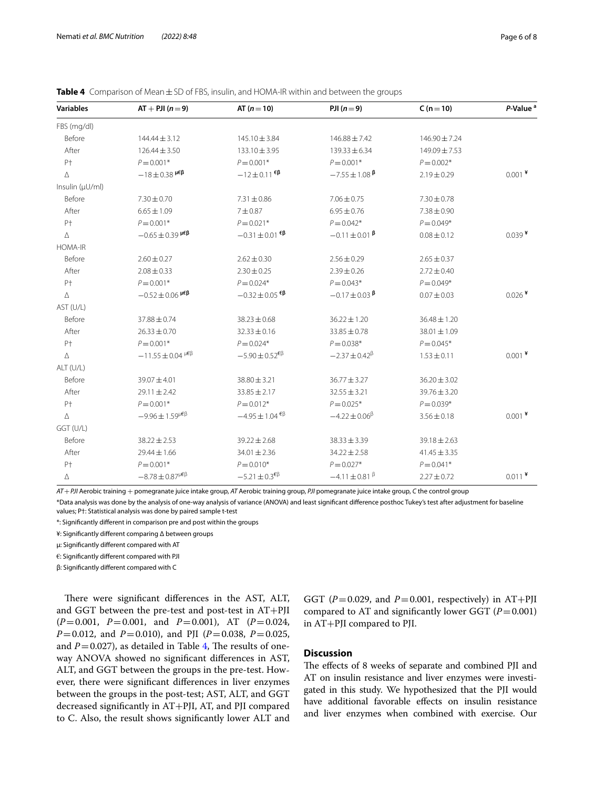| <b>Variables</b> | $AT + PJI(n=9)$                       | AT $(n = 10)$                                           | PJI $(n=9)$              | $C (n = 10)$      | P-Value <sup>a</sup> |
|------------------|---------------------------------------|---------------------------------------------------------|--------------------------|-------------------|----------------------|
| FBS (mg/dl)      |                                       |                                                         |                          |                   |                      |
| Before           | $144.44 \pm 3.12$                     | $145.10 \pm 3.84$                                       | $146.88 \pm 7.42$        | $146.90 \pm 7.24$ |                      |
| After            | $126.44 \pm 3.50$                     | $133.10 \pm 3.95$                                       | $139.33 \pm 6.34$        | $149.09 + 7.53$   |                      |
| P <sup>+</sup>   | $P = 0.001*$                          | $P = 0.001*$                                            | $P = 0.001*$             | $P = 0.002*$      |                      |
| Δ                | $-18 \pm 0.38$ $\mu \epsilon \beta$   | $-12\pm0.11$ $\epsilon$ <sup><math>\beta</math></sup>   | $-7.55 \pm 1.08$ $\beta$ | $2.19 \pm 0.29$   | $0.001$ ¥            |
| Insulin (µU/ml)  |                                       |                                                         |                          |                   |                      |
| Before           | $7.30 \pm 0.70$                       | $7.31 \pm 0.86$                                         | $7.06 \pm 0.75$          | $7.30 \pm 0.78$   |                      |
| After            | $6.65 \pm 1.09$                       | $7 + 0.87$                                              | $6.95 \pm 0.76$          | $7.38 \pm 0.90$   |                      |
| P <sup>+</sup>   | $P = 0.001*$                          | $P = 0.021*$                                            | $P = 0.042*$             | $P = 0.049*$      |                      |
| Δ                | $-0.65 \pm 0.39$ $\mu \epsilon \beta$ | $-0.31 \pm 0.01$ <sup><math>\epsilon \beta</math></sup> | $-0.11 \pm 0.01$ $\beta$ | $0.08 \pm 0.12$   | $0.039$ <sup>¥</sup> |
| <b>HOMA-IR</b>   |                                       |                                                         |                          |                   |                      |
| Before           | $2.60 \pm 0.27$                       | $2.62 \pm 0.30$                                         | $2.56 \pm 0.29$          | $2.65 \pm 0.37$   |                      |
| After            | $2.08 \pm 0.33$                       | $2.30 \pm 0.25$                                         | $2.39 \pm 0.26$          | $2.72 \pm 0.40$   |                      |
| P <sup>+</sup>   | $P = 0.001*$                          | $P = 0.024*$                                            | $P = 0.043*$             | $P = 0.049*$      |                      |
| Δ                | $-0.52 \pm 0.06$ $\mu \epsilon \beta$ | $-0.32 \pm 0.05$ <sup><math>\epsilon \beta</math></sup> | $-0.17 \pm 0.03$ $\beta$ | $0.07 \pm 0.03$   | $0.026$ <sup>¥</sup> |
| AST (U/L)        |                                       |                                                         |                          |                   |                      |
| Before           | $37.88 \pm 0.74$                      | $38.23 \pm 0.68$                                        | $36.22 \pm 1.20$         | $36.48 \pm 1.20$  |                      |
| After            | $26.33 \pm 0.70$                      | $32.33 \pm 0.16$                                        | $33.85 \pm 0.78$         | 38.01 ± 1.09      |                      |
| P <sup>+</sup>   | $P = 0.001*$                          | $P = 0.024*$                                            | $P = 0.038*$             | $P = 0.045*$      |                      |
| Δ                | $-11.55 \pm 0.04$ $\mu \in \beta$     | $-5.90 \pm 0.52^{\text{EB}}$                            | $-2.37 \pm 0.42^{\beta}$ | $1.53 \pm 0.11$   | $0.001$ <sup>¥</sup> |
| ALT (U/L)        |                                       |                                                         |                          |                   |                      |
| Before           | $39.07 \pm 4.01$                      | $38.80 \pm 3.21$                                        | $36.77 \pm 3.27$         | $36.20 \pm 3.02$  |                      |
| After            | $29.11 \pm 2.42$                      | $33.85 \pm 2.17$                                        | $32.55 \pm 3.21$         | $39.76 \pm 3.20$  |                      |
| P†               | $P = 0.001*$                          | $P = 0.012*$                                            | $P = 0.025*$             | $P = 0.039*$      |                      |
| Δ                | $-9.96 \pm 1.59^{\mu \epsilon \beta}$ | $-4.95 \pm 1.04^{\text{ }\epsilon\beta}$                | $-4.22 \pm 0.06^{\beta}$ | $3.56 \pm 0.18$   | $0.001$ <sup>¥</sup> |
| GGT (U/L)        |                                       |                                                         |                          |                   |                      |
| Before           | $38.22 \pm 2.53$                      | $39.22 \pm 2.68$                                        | $38.33 \pm 3.39$         | $39.18 \pm 2.63$  |                      |
| After            | $29.44 \pm 1.66$                      | $34.01 \pm 2.36$                                        | $34.22 \pm 2.58$         | $41.45 \pm 3.35$  |                      |
| P†               | $P = 0.001*$                          | $P = 0.010*$                                            | $P = 0.027*$             | $P = 0.041*$      |                      |
| Δ                | $-8.78 \pm 0.87^{\mu \epsilon \beta}$ | $-5.21 \pm 0.3^{E}$                                     | $-4.11 \pm 0.81$ $\beta$ | $2.27 \pm 0.72$   | $0.011$ <sup>¥</sup> |

<span id="page-5-0"></span>**Table 4** Comparison of Mean±SD of FBS, insulin, and HOMA-IR within and between the groups

*AT*+*PJI* Aerobic training + pomegranate juice intake group, *AT* Aerobic training group, *PJI* pomegranate juice intake group, *C* the control group \*Data analysis was done by the analysis of one-way analysis of variance (ANOVA) and least signifcant diference posthoc Tukey's test after adjustment for baseline values; P†: Statistical analysis was done by paired sample t-test

\*: Signifcantly diferent in comparison pre and post within the groups

¥: Signifcantly diferent comparing Δ between groups

μ: Signifcantly diferent compared with AT

€: Signifcantly diferent compared with PJI

β: Signifcantly diferent compared with C

There were significant differences in the AST, ALT, and GGT between the pre-test and post-test in AT+PJI (*P*=0.001, *P*=0.001, and *P*=0.001), AT (*P*=0.024, *P*=0.012, and *P*=0.010), and PJI (*P*=0.038, *P*=0.025, and  $P=0.027$ ), as detailed in Table [4,](#page-5-0) The results of oneway ANOVA showed no signifcant diferences in AST, ALT, and GGT between the groups in the pre-test. However, there were signifcant diferences in liver enzymes between the groups in the post-test; AST, ALT, and GGT decreased signifcantly in AT+PJI, AT, and PJI compared to C. Also, the result shows signifcantly lower ALT and GGT ( $P=0.029$ , and  $P=0.001$ , respectively) in AT+PJI compared to AT and significantly lower GGT  $(P=0.001)$ in AT+PJI compared to PJI.

# **Discussion**

The effects of 8 weeks of separate and combined PJI and AT on insulin resistance and liver enzymes were investigated in this study. We hypothesized that the PJI would have additional favorable efects on insulin resistance and liver enzymes when combined with exercise. Our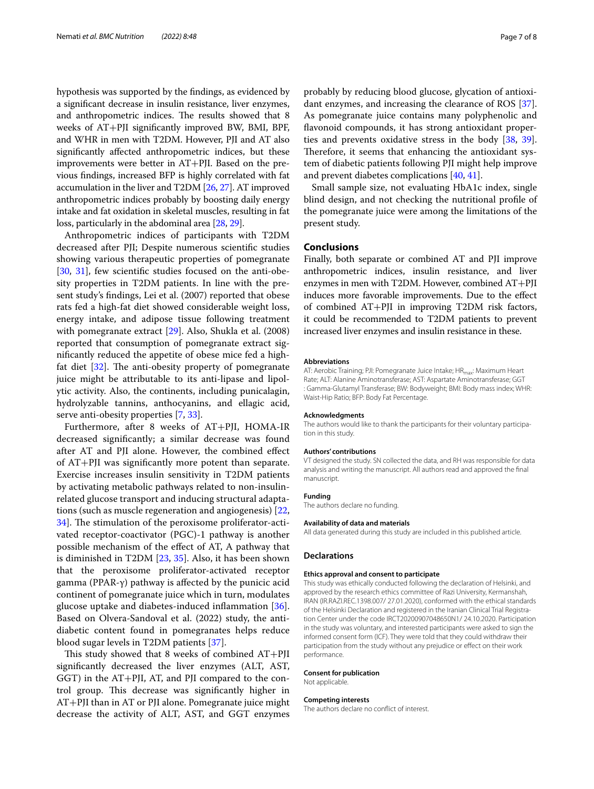hypothesis was supported by the fndings, as evidenced by a signifcant decrease in insulin resistance, liver enzymes, and anthropometric indices. The results showed that 8 weeks of AT+PJI signifcantly improved BW, BMI, BPF, and WHR in men with T2DM. However, PJI and AT also signifcantly afected anthropometric indices, but these improvements were better in AT+PJI. Based on the previous fndings, increased BFP is highly correlated with fat accumulation in the liver and T2DM [[26](#page-7-24), [27](#page-7-25)]. AT improved anthropometric indices probably by boosting daily energy intake and fat oxidation in skeletal muscles, resulting in fat loss, particularly in the abdominal area [\[28,](#page-7-26) [29\]](#page-7-27).

Anthropometric indices of participants with T2DM decreased after PJI; Despite numerous scientifc studies showing various therapeutic properties of pomegranate [[30,](#page-7-28) [31\]](#page-7-29), few scientifc studies focused on the anti-obesity properties in T2DM patients. In line with the present study's fndings, Lei et al. (2007) reported that obese rats fed a high-fat diet showed considerable weight loss, energy intake, and adipose tissue following treatment with pomegranate extract [\[29\]](#page-7-27). Also, Shukla et al. (2008) reported that consumption of pomegranate extract signifcantly reduced the appetite of obese mice fed a highfat diet  $[32]$ . The anti-obesity property of pomegranate juice might be attributable to its anti-lipase and lipolytic activity. Also, the continents, including punicalagin, hydrolyzable tannins, anthocyanins, and ellagic acid, serve anti-obesity properties [[7,](#page-7-6) [33\]](#page-7-31).

Furthermore, after 8 weeks of AT+PJI, HOMA-IR decreased signifcantly; a similar decrease was found after AT and PJI alone. However, the combined efect of AT+PJI was signifcantly more potent than separate. Exercise increases insulin sensitivity in T2DM patients by activating metabolic pathways related to non-insulinrelated glucose transport and inducing structural adaptations (such as muscle regeneration and angiogenesis) [\[22](#page-7-20), [34\]](#page-7-32). The stimulation of the peroxisome proliferator-activated receptor-coactivator (PGC)-1 pathway is another possible mechanism of the efect of AT, A pathway that is diminished in T2DM [\[23](#page-7-21), [35](#page-7-33)]. Also, it has been shown that the peroxisome proliferator-activated receptor gamma (PPAR-γ) pathway is afected by the punicic acid continent of pomegranate juice which in turn, modulates glucose uptake and diabetes-induced inflammation  $[36]$  $[36]$ . Based on Olvera-Sandoval et al. (2022) study, the antidiabetic content found in pomegranates helps reduce blood sugar levels in T2DM patients [[37\]](#page-7-35).

This study showed that 8 weeks of combined  $AT+PII$ signifcantly decreased the liver enzymes (ALT, AST, GGT) in the AT+PJI, AT, and PJI compared to the control group. This decrease was significantly higher in AT+PJI than in AT or PJI alone. Pomegranate juice might decrease the activity of ALT, AST, and GGT enzymes probably by reducing blood glucose, glycation of antioxidant enzymes, and increasing the clearance of ROS [\[37](#page-7-35)]. As pomegranate juice contains many polyphenolic and favonoid compounds, it has strong antioxidant properties and prevents oxidative stress in the body [\[38,](#page-7-36) [39](#page-7-37)]. Therefore, it seems that enhancing the antioxidant system of diabetic patients following PJI might help improve and prevent diabetes complications [\[40](#page-7-38), [41\]](#page-7-39).

Small sample size, not evaluating HbA1c index, single blind design, and not checking the nutritional profle of the pomegranate juice were among the limitations of the present study.

### **Conclusions**

Finally, both separate or combined AT and PJI improve anthropometric indices, insulin resistance, and liver enzymes in men with T2DM. However, combined AT+PJI induces more favorable improvements. Due to the efect of combined AT+PJI in improving T2DM risk factors, it could be recommended to T2DM patients to prevent increased liver enzymes and insulin resistance in these.

#### **Abbreviations**

AT: Aerobic Training; PJI: Pomegranate Juice Intake; HR<sub>max</sub>: Maximum Heart Rate; ALT: Alanine Aminotransferase; AST: Aspartate Aminotransferase; GGT : Gamma-Glutamyl Transferase; BW: Bodyweight; BMI: Body mass index; WHR: Waist-Hip Ratio; BFP: Body Fat Percentage.

#### **Acknowledgments**

The authors would like to thank the participants for their voluntary participation in this study.

### **Authors' contributions**

VT designed the study. SN collected the data, and RH was responsible for data analysis and writing the manuscript. All authors read and approved the fnal manuscript.

#### **Funding**

The authors declare no funding.

### **Availability of data and materials** All data generated during this study are included in this published article.

### **Declarations**

### **Ethics approval and consent to participate**

This study was ethically conducted following the declaration of Helsinki, and approved by the research ethics committee of Razi University, Kermanshah, IRAN (IR.RAZI.REC.1398.007/ 27.01.2020), conformed with the ethical standards of the Helsinki Declaration and registered in the Iranian Clinical Trial Registration Center under the code IRCT20200907048650N1/ 24.10.2020. Participation in the study was voluntary, and interested participants were asked to sign the informed consent form (ICF). They were told that they could withdraw their participation from the study without any prejudice or effect on their work performance.

### **Consent for publication**

Not applicable.

#### **Competing interests**

The authors declare no confict of interest.